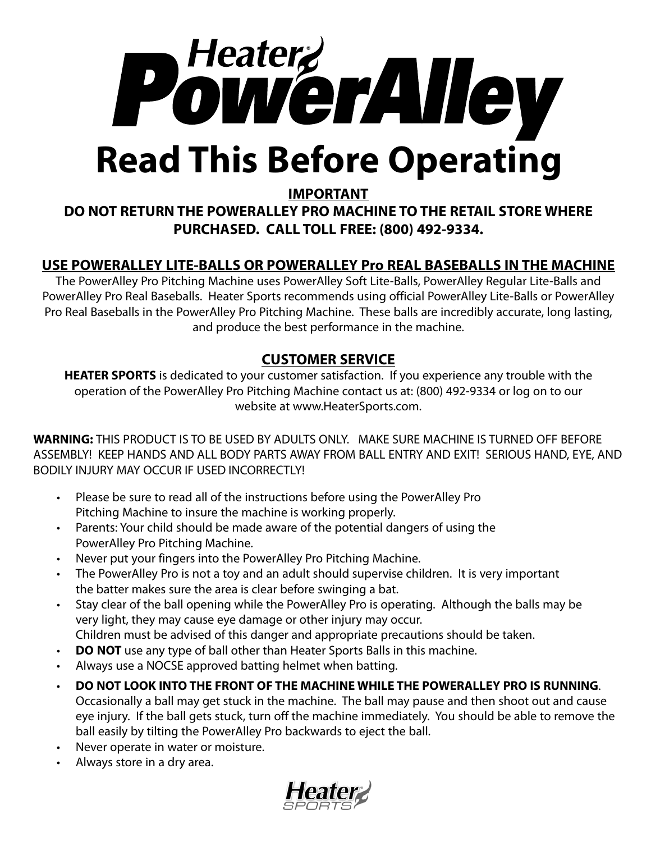

### **IMPORTANT**

## **DO NOT RETURN THE POWERALLEY PRO MACHINE TO THE RETAIL STORE WHERE PURCHASED. CALL TOLL FREE: (800) 492-9334.**

## **USE POWERALLEY LITE-BALLS OR POWERALLEY Pro REAL BASEBALLS IN THE MACHINE**

The PowerAlley Pro Pitching Machine uses PowerAlley Soft Lite-Balls, PowerAlley Regular Lite-Balls and PowerAlley Pro Real Baseballs. Heater Sports recommends using official PowerAlley Lite-Balls or PowerAlley Pro Real Baseballs in the PowerAlley Pro Pitching Machine. These balls are incredibly accurate, long lasting, and produce the best performance in the machine.

## **CUSTOMER SERVICE**

**HEATER SPORTS** is dedicated to your customer satisfaction. If you experience any trouble with the operation of the PowerAlley Pro Pitching Machine contact us at: (800) 492-9334 or log on to our website at www.HeaterSports.com.

**WARNING:** THIS PRODUCT IS TO BE USED BY ADULTS ONLY. MAKE SURE MACHINE IS TURNED OFF BEFORE ASSEMBLY! KEEP HANDS AND ALL BODY PARTS AWAY FROM BALL ENTRY AND EXIT! SERIOUS HAND, EYE, AND BODILY INJURY MAY OCCUR IF USED INCORRECTLY!

- Please be sure to read all of the instructions before using the PowerAlley Pro Pitching Machine to insure the machine is working properly.
- Parents: Your child should be made aware of the potential dangers of using the PowerAlley Pro Pitching Machine.
- Never put your fingers into the PowerAlley Pro Pitching Machine.
- The PowerAlley Pro is not a toy and an adult should supervise children. It is very important the batter makes sure the area is clear before swinging a bat.
- Stay clear of the ball opening while the PowerAlley Pro is operating. Although the balls may be very light, they may cause eye damage or other injury may occur. Children must be advised of this danger and appropriate precautions should be taken.
- **DO NOT** use any type of ball other than Heater Sports Balls in this machine.
- Always use a NOCSE approved batting helmet when batting.
- **DO NOT LOOK INTO THE FRONT OF THE MACHINE WHILE THE POWERALLEY PRO IS RUNNING**. Occasionally a ball may get stuck in the machine. The ball may pause and then shoot out and cause eye injury. If the ball gets stuck, turn off the machine immediately. You should be able to remove the ball easily by tilting the PowerAlley Pro backwards to eject the ball.
- Never operate in water or moisture.
- Always store in a dry area.

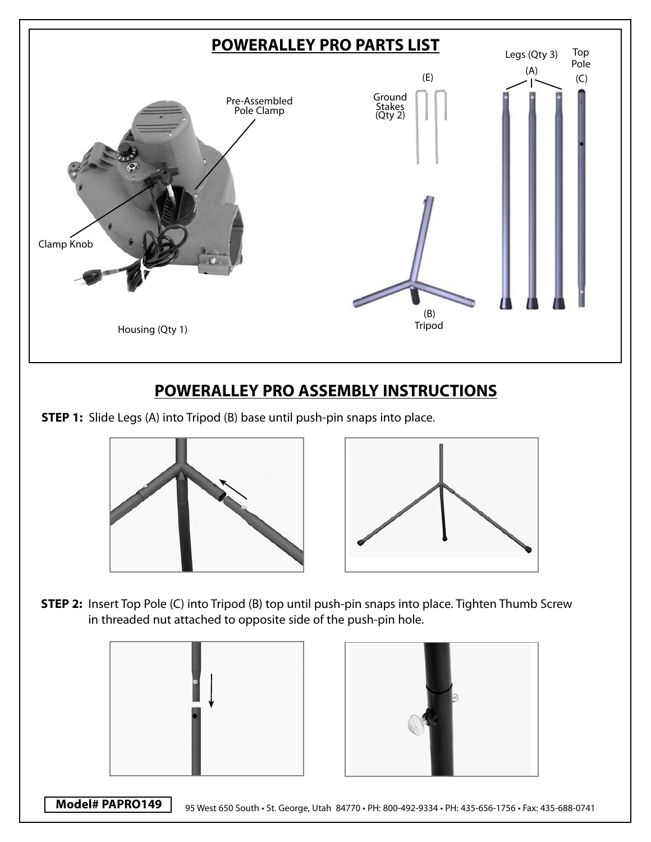

**STEP 1:** Slide Legs (A) into Tripod (B) base until push-pin snaps into place.





**STEP 2:** Insert Top Pole (C) into Tripod (B) top until push-pin snaps into place. Tighten Thumb Screw in threaded nut attached to opposite side of the push-pin hole.





**Model# PAPRO149** 95 West 650 South • St. George, Utah 84770 • PH: 800-492-9334 • PH: 435-656-1756 • Fax: 435-688-0741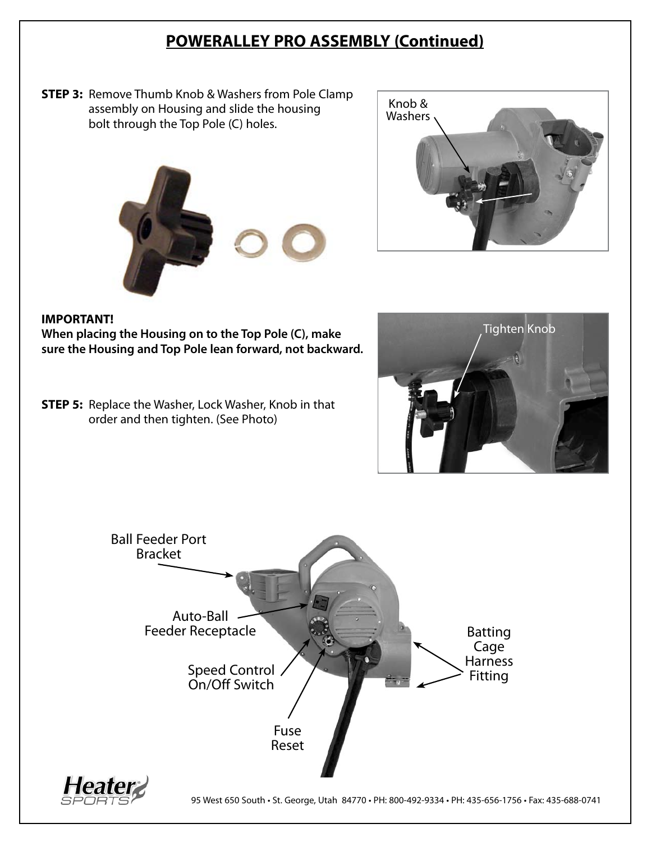## **POWERALLEY PRO ASSEMBLY (Continued)**

**STEP 3:** Remove Thumb Knob & Washers from Pole Clamp assembly on Housing and slide the housing bolt through the Top Pole (C) holes.





### **IMPORTANT!**

**When placing the Housing on to the Top Pole (C), make sure the Housing and Top Pole lean forward, not backward.**

**STEP 5:** Replace the Washer, Lock Washer, Knob in that order and then tighten. (See Photo)





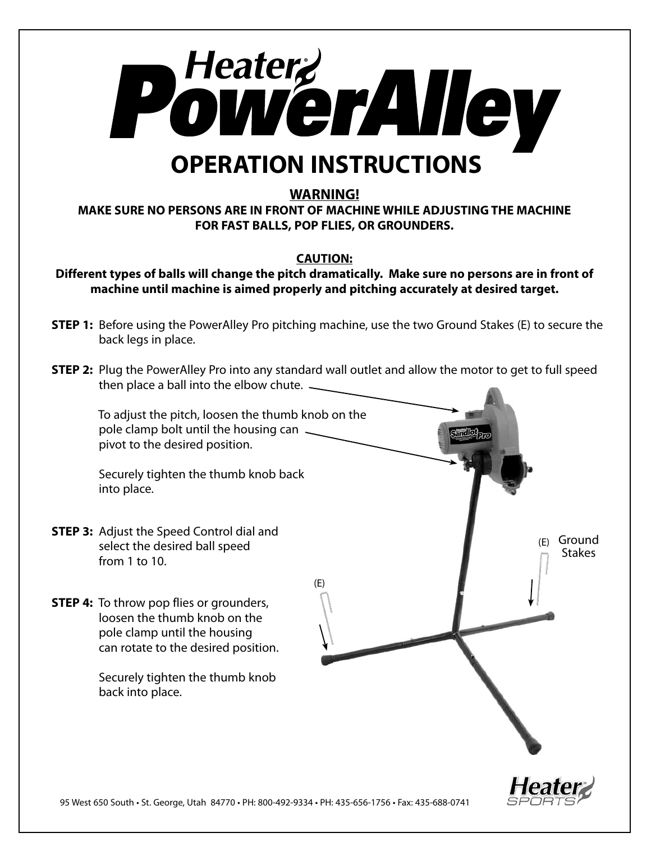